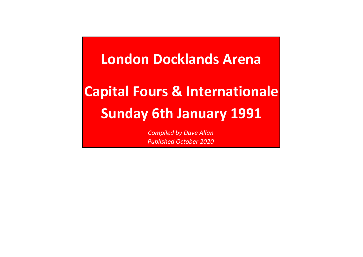**Capital Fours & InternationaleSunday 6th January 1991London Docklands Arena**

> *Compiled by Dave AllanPublished October 2020*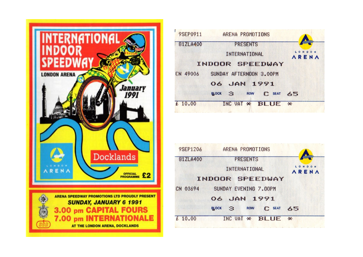



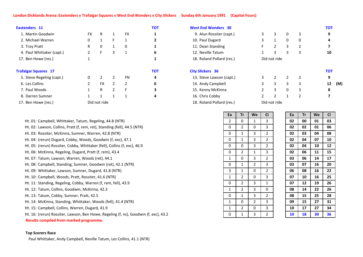## **London Dicklands Arena: Eastenders v Trafalgar Squares v West End Wonders v City Slickers Sunday 6th January 1991 (Capital Fours)**

| Eastenders 11               |                |              |   |           | <b>TOT</b>   | <b>Wes</b>  |
|-----------------------------|----------------|--------------|---|-----------|--------------|-------------|
| 1. Martin Goodwin           | <b>FX</b>      | R            | 1 | <b>FX</b> | 1            | 9.          |
| 2. Michael Warren           | 0              | $\mathbf{1}$ | F | 1         | $\mathbf{2}$ | 10.         |
| 3. Troy Pratt               | R              | 0            | 1 | 0         | 1            | 11.         |
| 4. Paul Whittaker (capt.)   | $\overline{2}$ | F            | 3 | 1         | 6            | 12.         |
| 17. Ben Howe (res.)         | $\mathbf{1}$   |              |   |           | 1            | 18.         |
| <b>Trafalgar Squares 17</b> |                |              |   |           | <b>TOT</b>   | <b>City</b> |
| 5. Steve Regeling (capt.)   | 0              | 2            | 2 | FN        | 4            | 13.         |
| 6. Les Collins              | $\overline{2}$ | <b>FX</b>    | 2 | 2         | 6            | 14.         |
| 7. Paul Woods               | $\mathbf{1}$   | R            | 2 | F         | 3            | 15.         |
| 8. Darren Sumner            | $\mathbf{1}$   | 1            | 1 | 1         | 4            | 16.         |
| 17. Ben Howe (res.)         |                | Did not ride |   |           |              | 18.         |

Ht. 01: Campbell, Whittaker, Tatum, Regeling, 44.8 (NTR)

- Ht. 02: Lawson, Collins, Pratt (f, rem, ret), Standing (fell), 44.5 (NTR)
- Ht. 03: Rossiter, McKinna, Sumner, Warren, 42.8 (NTR)
- Ht. 04:(rerun) Dugard, Cobby, Woods, Goodwin (f, exc), 47.1
- Ht. 05: (rerun) Rossiter, Cobby, Whittaker (fell), Collins (f, exc), 46.9
- Ht. 06: McKinna, Regeling, Dugard, Pratt (f, rem), 43.4
- Ht. 07: Tatum, Lawson, Warren, Woods (ret), 44.1
- Ht. 08: Campbell, Standing, Sumner, Goodwin (ret), 42.1 (NTR)
- Ht. 09:Whittaker, Lawson, Sumner, Dugard, 41.8 (NTR)
- Ht. 10: Campbell, Woods, Pratt, Rossiter, 41.6 (NTR)
- Ht. 11: Standing, Regeling, Cobby, Warren (f, rem, fell), 43.9
- Ht. 12: Tatum, Collins, Goodwin, McKinna, 42.3
- Ht. 13: Tatum, Cobby, Sumner, Pratt, 42.5
- Ht. 14: McKinna, Standing, Whittaker, Woods (fell), 41.4 (NTR)
- Ht. 15: Campbell, Collins, Warren, Dugard, 41.9

Ht. 16: (rerun) Rossiter, Lawson, Ben Howe, Regeling (f, ns), Goodwin (f, exc), 43.2

**Results compiled from marked programme.**

## **Top Scorers Race**

Paul Whittaker, Andy Campbell, Neville Tatum, Les Collins, 41.1 (NTR)

|                | <b>TOT</b> | <b>West End Wonders 30</b> |   |              |                |   | <b>TOT</b> |     |
|----------------|------------|----------------------------|---|--------------|----------------|---|------------|-----|
| FX             |            | 9. Alun Rossiter (capt.)   | 3 | 3            | 0              | 3 | 9          |     |
| 1              |            | 10. Paul Dugard            | 3 | 1            | 0              | 0 | 4          |     |
| 0              |            | 11. Dean Standing          |   | 2            | 3              | 2 |            |     |
| 1              | 6          | 12. Neville Tatum          |   | 3            | 3              | 3 | 10         |     |
|                |            | 18. Roland Pollard (res.)  |   | Did not ride |                |   |            |     |
|                | <b>TOT</b> | <b>City Slickers 36</b>    |   |              |                |   | <b>TOT</b> |     |
| FN             | 4          | 13. Steve Lawson (capt.)   | 3 | 2            | $\overline{2}$ | 2 | 9          |     |
| $\overline{a}$ | 6          | 14. Andy Campbell          | 3 | 3            | 3              | 3 | 12         | (M) |
| F.             | 3          | 15. Kenny McKinna          | 2 | 3            | 0              | 3 | 8          |     |
| 1              | 4          | 16. Chris Cobby            |   | 2            | 1              | 2 |            |     |
|                |            | 18. Roland Pollard (res.)  |   | Did not ride |                |   |            |     |

| Ea           | Tr             | We             | Ci             | Ea | Tr | We | Ci |
|--------------|----------------|----------------|----------------|----|----|----|----|
| 2            | 0              | $\mathbf{1}$   | 3              | 02 | 00 | 01 | 03 |
| 0            | 2              | 0              | 3              | 02 | 02 | 01 | 06 |
| 0            | 1              | 3              | 2              | 02 | 03 | 04 | 08 |
| 0            | $\mathbf{1}$   | 3              | $\overline{2}$ | 02 | 04 | 07 | 10 |
| 0            | 0              | 3              | $\overline{2}$ | 02 | 04 | 10 | 12 |
| 0            | $\overline{2}$ | $\mathbf{1}$   | 3              | 02 | 06 | 11 | 15 |
| 1            | 0              | 3              | 2              | 03 | 06 | 14 | 17 |
| 0            | 1              | $\overline{2}$ | 3              | 03 | 07 | 16 | 20 |
| 3            | $\mathbf{1}$   | 0              | $\overline{2}$ | 06 | 08 | 16 | 22 |
| $\mathbf{1}$ | 2              | 0              | 3              | 07 | 10 | 16 | 25 |
| 0            | 2              | 3              | 1              | 07 | 12 | 19 | 26 |
| $\mathbf{1}$ | 2              | 3              | 0              | 08 | 14 | 22 | 26 |
| 0            | 1              | 3              | 2              | 08 | 15 | 25 | 28 |
| 1            | 0              | $\overline{2}$ | 3              | 09 | 15 | 27 | 31 |
| $\mathbf{1}$ | $\overline{2}$ | 0              | 3              | 10 | 17 | 27 | 34 |
| 0            | 1              | 3              | $\overline{2}$ | 10 | 18 | 30 | 36 |
|              |                |                |                |    |    |    |    |

| Ci                        | Ea | Tr | We | Ci |
|---------------------------|----|----|----|----|
| 3                         | 02 | 00 | 01 | 03 |
| 3                         | 02 | 02 | 01 | 06 |
| $\overline{2}$            | 02 | 03 | 04 | 08 |
| $\overline{2}$            | 02 | 04 | 07 | 10 |
| $\overline{2}$            | 02 | 04 | 10 | 12 |
| $\overline{3}$            | 02 | 06 | 11 | 15 |
| $\overline{\mathbf{c}}$   | 03 | 06 | 14 | 17 |
| $\overline{\overline{3}}$ | 03 | 07 | 16 | 20 |
| $\overline{\mathbf{c}}$   | 06 | 08 | 16 | 22 |
| $\overline{\mathbf{3}}$   | 07 | 10 | 16 | 25 |
| $\overline{1}$            | 07 | 12 | 19 | 26 |
| $\overline{0}$            | 08 | 14 | 22 | 26 |
| $\overline{\mathbf{c}}$   | 08 | 15 | 25 | 28 |
| $\overline{\mathbf{3}}$   | 09 | 15 | 27 | 31 |
| $\overline{\mathbf{3}}$   | 10 | 17 | 27 | 34 |
| $\overline{\mathbf{2}}$   | 10 | 18 | 30 | 36 |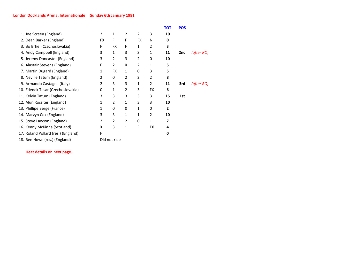|                                     |                |                |   |                |           | тот | <b>POS</b> |            |
|-------------------------------------|----------------|----------------|---|----------------|-----------|-----|------------|------------|
| 1. Joe Screen (England)             | $\overline{2}$ | 1              | 2 | $\overline{2}$ | 3         | 10  |            |            |
| 2. Dean Barker (England)            | FX             | F              | F | <b>FX</b>      | N         | 0   |            |            |
| 3. Bo Brhel (Czechoslovakia)        | F              | <b>FX</b>      | F | 1              | 2         | 3   |            |            |
| 4. Andy Campbell (England)          | 3              | 1              | 3 | 3              | 1         | 11  | 2nd        | (after RO) |
| 5. Jeremy Doncaster (England)       | 3              | 2              | 3 | 2              | 0         | 10  |            |            |
| 6. Alastair Stevens (England)       | F              | $\overline{2}$ | X | 2              | 1         | 5   |            |            |
| 7. Martin Dugard (England)          | 1              | <b>FX</b>      | 1 | 0              | 3         | 5   |            |            |
| 8. Neville Tatum (England)          | 2              | 0              | 2 | 2              | 2         | 8   |            |            |
| 9. Armando Castagna (Italy)         | 2              | 3              | 3 | 1              | 2         | 11  | 3rd        | (after RO) |
| 10. Zdenek Tesar (Czechoslovakia)   | 0              | 1              | 2 | 3              | <b>FX</b> | 6   |            |            |
| 11. Kelvin Tatum (England)          | 3              | 3              | 3 | 3              | 3         | 15  | 1st        |            |
| 12. Alun Rossiter (England)         | 1              | $\overline{2}$ | 1 | 3              | 3         | 10  |            |            |
| 13. Phillipe Berge (France)         | 1              | 0              | 0 | 1              | 0         | 2   |            |            |
| 14. Marvyn Cox (England)            | 3              | 3              | 1 | 1              | 2         | 10  |            |            |
| 15. Steve Lawson (England)          | 2              | 2              | 2 | 0              | 1         | 7   |            |            |
| 16. Kenny McKinna (Scotland)        | X              | 3              | 1 | F              | <b>FX</b> | 4   |            |            |
| 17. Roland Pollard (res.) (England) | F              |                |   |                |           | 0   |            |            |
| 18. Ben Howe (res.) (England)       | Did not ride   |                |   |                |           |     |            |            |

**Heat details on next page...**